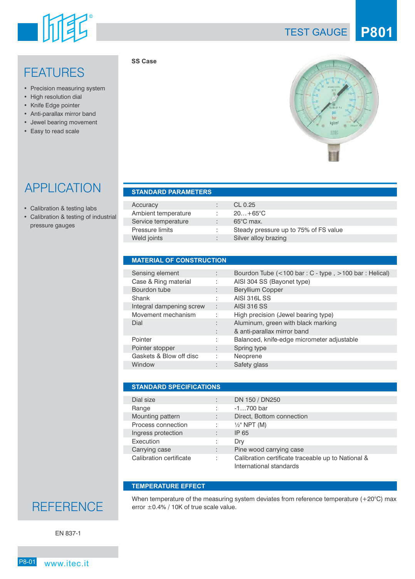

### **FEATURES**

- Precision measuring system
- High resolution dial
- Knife Edge pointer
- Anti-parallax mirror band
- Jewel bearing movement
- Easy to read scale

TEST GAUGE **P801**

## APPLICATION

- Calibration & testing labs
- Calibration & testing of industrial pressure gauges

| <b>STANDARD PARAMETERS.</b> |  |
|-----------------------------|--|
|                             |  |
|                             |  |

**SS Case** 

| Accuracy            | CL $0.25$                             |
|---------------------|---------------------------------------|
| Ambient temperature | $20+65^{\circ}C$                      |
| Service temperature | $65^{\circ}$ C max.                   |
| Pressure limits     | Steady pressure up to 75% of FS value |
| Weld joints         | Silver alloy brazing                  |

#### **MATERIAL OF CONSTRUCTION**

| Sensing element          |    | Bourdon Tube $(<100 \text{ bar}: C - \text{type}, >100 \text{ bar}: \text{Helical})$ |
|--------------------------|----|--------------------------------------------------------------------------------------|
| Case & Ring material     | ٠  | AISI 304 SS (Bayonet type)                                                           |
| Bourdon tube             |    | <b>Beryllium Copper</b>                                                              |
| Shank                    | ٠. | <b>AISI 316L SS</b>                                                                  |
| Integral dampening screw | ÷  | <b>AISI 316 SS</b>                                                                   |
| Movement mechanism       |    | High precision (Jewel bearing type)                                                  |
| Dial                     |    | Aluminum, green with black marking                                                   |
|                          |    | & anti-parallax mirror band                                                          |
| Pointer                  |    | Balanced, knife-edge micrometer adjustable                                           |
| Pointer stopper          |    | Spring type                                                                          |
| Gaskets & Blow off disc  |    | Neoprene                                                                             |
| Window                   |    | Safety glass                                                                         |

| <b>STANDARD SPECIFICATIONS</b> |   |                                                                               |  |  |  |  |  |
|--------------------------------|---|-------------------------------------------------------------------------------|--|--|--|--|--|
|                                |   |                                                                               |  |  |  |  |  |
| Dial size                      |   | DN 150 / DN250                                                                |  |  |  |  |  |
| Range                          |   | $-1700$ bar                                                                   |  |  |  |  |  |
| Mounting pattern               |   | Direct, Bottom connection                                                     |  |  |  |  |  |
| Process connection             | ÷ | $\frac{1}{2}$ " NPT (M)                                                       |  |  |  |  |  |
| Ingress protection             |   | IP 65                                                                         |  |  |  |  |  |
| Execution                      |   | Dry                                                                           |  |  |  |  |  |
| Carrying case                  | ٠ | Pine wood carrying case                                                       |  |  |  |  |  |
| Calibration certificate        | ÷ | Calibration certificate traceable up to National &<br>International standards |  |  |  |  |  |

#### **TEMPERATURE EFFECT**

I

I

When temperature of the measuring system deviates from reference temperature  $(+20^{\circ}C)$  max error ±0.4% / 10K of true scale value.

EN 837-1

**REFERENCE**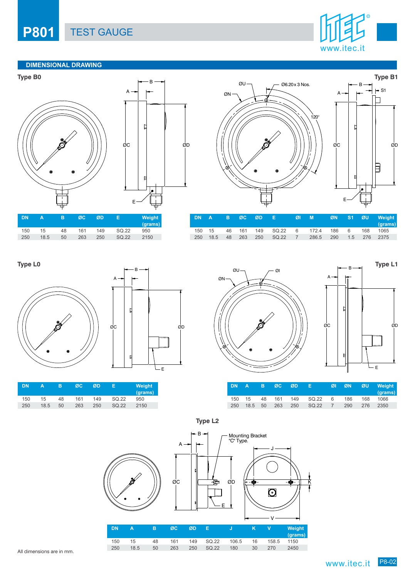### **P801** TEST GAUGE



### **DIMENSIONAL DRAWING**









|        |  |  | 'DNA BØC ØD EØIM                                   |  |  | ØN S1 ØU Weight<br>(grams) |
|--------|--|--|----------------------------------------------------|--|--|----------------------------|
| 150 15 |  |  | 46 161 149 SQ.22 6 172.4 186 6 168 1065            |  |  |                            |
|        |  |  | 250 18.5 48 263 250 SQ.22 7 286.5 290 1.5 276 2375 |  |  |                            |



| DN  | А    | в  | ØC  | ØD  | Е     | Weight<br>(grams) |
|-----|------|----|-----|-----|-------|-------------------|
| 150 | 15   | 48 | 161 | 149 | SQ.22 | 950               |
| 250 | 18.5 | 50 | 263 | 250 | SQ.22 | 2150              |





|  |  | DNA BØC ØD E |                                          |  |     | ØI ØN ØU Weight<br>(grams) |
|--|--|--------------|------------------------------------------|--|-----|----------------------------|
|  |  |              | 150  15  48  161  149  SQ.22  6  186     |  | 168 | 1066                       |
|  |  |              | 250 18.5 50 263 250 SQ.22 7 290 276 2350 |  |     |                            |

**Type L2**

ØD